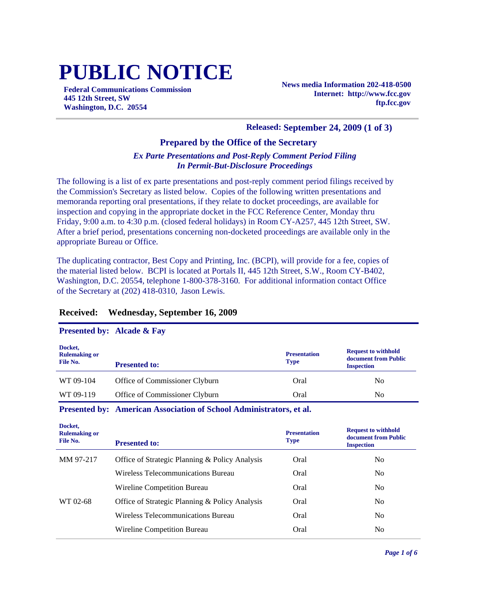# **PUBLIC NOTICE**

**Federal Communications Commission 445 12th Street, SW Washington, D.C. 20554**

**News media Information 202-418-0500 Internet: http://www.fcc.gov ftp.fcc.gov**

#### **Released: September 24, 2009 (1 of 3)**

## **Prepared by the Office of the Secretary**

### *Ex Parte Presentations and Post-Reply Comment Period Filing In Permit-But-Disclosure Proceedings*

The following is a list of ex parte presentations and post-reply comment period filings received by the Commission's Secretary as listed below. Copies of the following written presentations and memoranda reporting oral presentations, if they relate to docket proceedings, are available for inspection and copying in the appropriate docket in the FCC Reference Center, Monday thru Friday, 9:00 a.m. to 4:30 p.m. (closed federal holidays) in Room CY-A257, 445 12th Street, SW. After a brief period, presentations concerning non-docketed proceedings are available only in the appropriate Bureau or Office.

The duplicating contractor, Best Copy and Printing, Inc. (BCPI), will provide for a fee, copies of the material listed below. BCPI is located at Portals II, 445 12th Street, S.W., Room CY-B402, Washington, D.C. 20554, telephone 1-800-378-3160. For additional information contact Office of the Secretary at (202) 418-0310, Jason Lewis.

### **Received: Wednesday, September 16, 2009**

#### **Presented by: Alcade & Fay**

| Docket,<br><b>Rulemaking or</b><br>File No. | <b>Presented to:</b>           | <b>Presentation</b><br><b>Type</b> | <b>Request to withhold</b><br>document from Public<br><b>Inspection</b> |
|---------------------------------------------|--------------------------------|------------------------------------|-------------------------------------------------------------------------|
| WT 09-104                                   | Office of Commissioner Clyburn | Oral                               | N <sub>0</sub>                                                          |
| WT 09-119                                   | Office of Commissioner Clyburn | Oral                               | No                                                                      |

#### **Presented by: American Association of School Administrators, et al.**

| Docket,<br><b>Rulemaking or</b><br>File No. | <b>Presented to:</b>                           | <b>Presentation</b><br><b>Type</b> | <b>Request to withhold</b><br>document from Public<br><b>Inspection</b> |
|---------------------------------------------|------------------------------------------------|------------------------------------|-------------------------------------------------------------------------|
| MM 97-217                                   | Office of Strategic Planning & Policy Analysis | Oral                               | N <sub>0</sub>                                                          |
|                                             | Wireless Telecommunications Bureau             | Oral                               | N <sub>0</sub>                                                          |
|                                             | Wireline Competition Bureau                    | Oral                               | N <sub>0</sub>                                                          |
| WT 02-68                                    | Office of Strategic Planning & Policy Analysis | Oral                               | N <sub>0</sub>                                                          |
|                                             | Wireless Telecommunications Bureau             | Oral                               | N <sub>0</sub>                                                          |
|                                             | Wireline Competition Bureau                    | Oral                               | N <sub>0</sub>                                                          |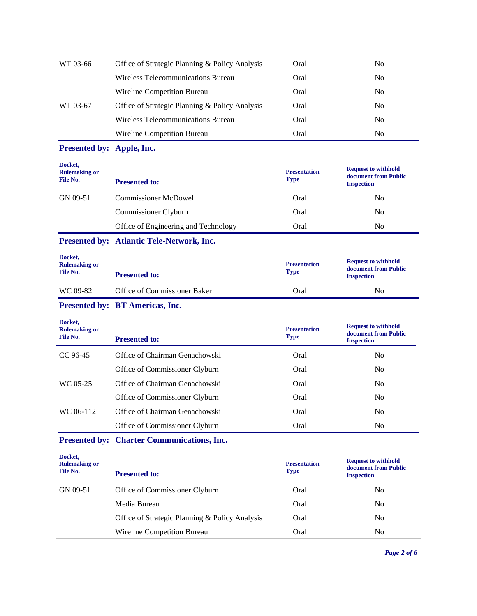| WT 03-66 | Office of Strategic Planning & Policy Analysis | Oral | No             |
|----------|------------------------------------------------|------|----------------|
|          | Wireless Telecommunications Bureau             | Oral | N <sub>0</sub> |
|          | Wireline Competition Bureau                    | Oral | N <sub>0</sub> |
| WT 03-67 | Office of Strategic Planning & Policy Analysis | Oral | No.            |
|          | Wireless Telecommunications Bureau             | Oral | No             |
|          | Wireline Competition Bureau                    | Oral | No             |

#### **Presented by: Apple, Inc.**

| Docket,<br><b>Rulemaking or</b><br>File No. | <b>Presented to:</b>                 | <b>Presentation</b><br><b>Type</b> | <b>Request to withhold</b><br>document from Public<br><b>Inspection</b> |
|---------------------------------------------|--------------------------------------|------------------------------------|-------------------------------------------------------------------------|
| GN 09-51                                    | <b>Commissioner McDowell</b>         | Oral                               | No                                                                      |
|                                             | Commissioner Clyburn                 | Oral                               | No                                                                      |
|                                             | Office of Engineering and Technology | Oral                               | No                                                                      |

## **Presented by: Atlantic Tele-Network, Inc.**

| Docket,<br><b>Rulemaking or</b><br>File No. | <b>Presented to:</b>         | <b>Presentation</b><br><b>Type</b> | <b>Request to withhold</b><br>document from Public<br><b>Inspection</b> |
|---------------------------------------------|------------------------------|------------------------------------|-------------------------------------------------------------------------|
| WC 09-82                                    | Office of Commissioner Baker | Oral                               | N <sub>0</sub>                                                          |

## **Presented by: BT Americas, Inc.**

| Docket,<br><b>Rulemaking or</b><br>File No. | <b>Presented to:</b>           | <b>Presentation</b><br><b>Type</b> | <b>Request to withhold</b><br>document from Public<br><b>Inspection</b> |
|---------------------------------------------|--------------------------------|------------------------------------|-------------------------------------------------------------------------|
| CC 96-45                                    | Office of Chairman Genachowski | Oral                               | No                                                                      |
|                                             | Office of Commissioner Clyburn | Oral                               | N <sub>0</sub>                                                          |
| WC 05-25                                    | Office of Chairman Genachowski | Oral                               | N <sub>0</sub>                                                          |
|                                             | Office of Commissioner Clyburn | Oral                               | No.                                                                     |
| WC 06-112                                   | Office of Chairman Genachowski | Oral                               | N <sub>0</sub>                                                          |
|                                             | Office of Commissioner Clyburn | Oral                               | N <sub>0</sub>                                                          |

#### **Presented by: Charter Communications, Inc.**

**Docket, Rulemaking or File No. Presentation Type Request to withhold document from Public Presented to:** GN 09-51 Office of Commissioner Clyburn Oral Oral No Media Bureau **No. 1988** No. 1989 No. 1989 No. 1989 No. 1989 No. 1989 No. 1989 No. 1989 No. 1989 No. 1989 No. 1989 No. 1989 No. 1989 No. 1989 No. 1989 No. 1989 No. 1989 No. 1989 No. 1989 No. 1989 No. 1989 No. 1989 No. 1989 Office of Strategic Planning & Policy Analysis Oral No Wireline Competition Bureau Oral Oral No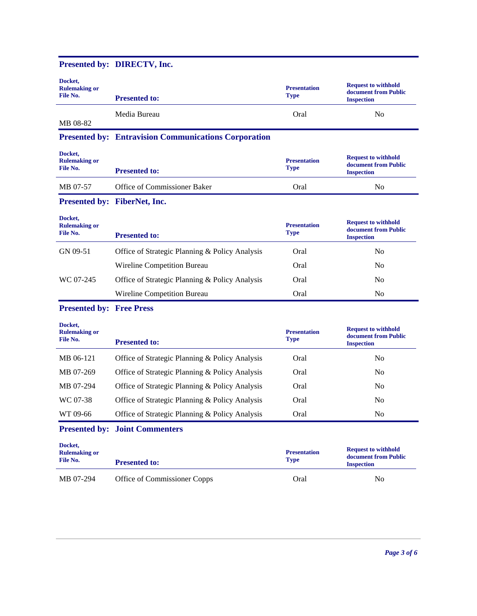|                                             | Presented by: DIRECTV, Inc.                                 |                                    |                                                                         |
|---------------------------------------------|-------------------------------------------------------------|------------------------------------|-------------------------------------------------------------------------|
| Docket,<br><b>Rulemaking or</b><br>File No. | <b>Presented to:</b>                                        | <b>Presentation</b><br><b>Type</b> | <b>Request to withhold</b><br>document from Public<br><b>Inspection</b> |
| MB 08-82                                    | Media Bureau                                                | Oral                               | N <sub>0</sub>                                                          |
|                                             | <b>Presented by: Entravision Communications Corporation</b> |                                    |                                                                         |
| Docket,<br><b>Rulemaking or</b><br>File No. | <b>Presented to:</b>                                        | <b>Presentation</b><br><b>Type</b> | <b>Request to withhold</b><br>document from Public<br><b>Inspection</b> |
| MB 07-57                                    | Office of Commissioner Baker                                | Oral                               | No                                                                      |
|                                             | Presented by: FiberNet, Inc.                                |                                    |                                                                         |
| Docket,<br><b>Rulemaking or</b><br>File No. | <b>Presented to:</b>                                        | <b>Presentation</b><br><b>Type</b> | <b>Request to withhold</b><br>document from Public<br><b>Inspection</b> |
| GN 09-51                                    | Office of Strategic Planning & Policy Analysis              | Oral                               | N <sub>o</sub>                                                          |
|                                             | Wireline Competition Bureau                                 | Oral                               | N <sub>0</sub>                                                          |
| WC 07-245                                   | Office of Strategic Planning & Policy Analysis              | Oral                               | N <sub>0</sub>                                                          |
|                                             | Wireline Competition Bureau                                 | Oral                               | N <sub>0</sub>                                                          |
| <b>Presented by: Free Press</b>             |                                                             |                                    |                                                                         |
| Docket,<br><b>Rulemaking or</b><br>File No. | <b>Presented to:</b>                                        | <b>Presentation</b><br><b>Type</b> | <b>Request to withhold</b><br>document from Public<br><b>Inspection</b> |
| MB 06-121                                   | Office of Strategic Planning & Policy Analysis              | Oral                               | N <sub>o</sub>                                                          |
| MB 07-269                                   | Office of Strategic Planning & Policy Analysis              | Oral                               | N <sub>o</sub>                                                          |
| MB 07-294                                   | Office of Strategic Planning & Policy Analysis              | Oral                               | N <sub>0</sub>                                                          |
| WC 07-38                                    | Office of Strategic Planning & Policy Analysis              | Oral                               | N <sub>o</sub>                                                          |
| WT 09-66                                    | Office of Strategic Planning & Policy Analysis              | Oral                               | N <sub>o</sub>                                                          |
|                                             | <b>Presented by: Joint Commenters</b>                       |                                    |                                                                         |
| Docket,<br><b>Rulemaking or</b><br>File No. | <b>Presented to:</b>                                        | <b>Presentation</b><br><b>Type</b> | <b>Request to withhold</b><br>document from Public<br><b>Inspection</b> |
| MB 07-294                                   | Office of Commissioner Copps                                | Oral                               | N <sub>0</sub>                                                          |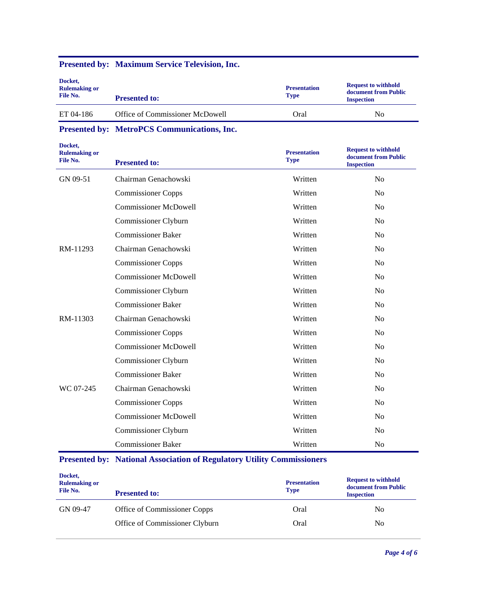| Docket,<br><b>Rulemaking or</b><br>File No. | <b>Presented to:</b>            | <b>Presentation</b><br><b>Type</b> | <b>Request to withhold</b><br>document from Public<br><b>Inspection</b> |
|---------------------------------------------|---------------------------------|------------------------------------|-------------------------------------------------------------------------|
| ET 04-186                                   | Office of Commissioner McDowell | Oral                               | No                                                                      |

# **Presented by: Maximum Service Television, Inc.**

**Presented by: MetroPCS Communications, Inc.**

| Docket,<br><b>Rulemaking or</b><br>File No. | <b>Presented to:</b>         | <b>Presentation</b><br><b>Type</b> | <b>Request to withhold</b><br>document from Public<br><b>Inspection</b> |
|---------------------------------------------|------------------------------|------------------------------------|-------------------------------------------------------------------------|
| GN 09-51                                    | Chairman Genachowski         | Written                            | N <sub>o</sub>                                                          |
|                                             | <b>Commissioner Copps</b>    | Written                            | N <sub>0</sub>                                                          |
|                                             | <b>Commissioner McDowell</b> | Written                            | N <sub>0</sub>                                                          |
|                                             | Commissioner Clyburn         | Written                            | N <sub>0</sub>                                                          |
|                                             | <b>Commissioner Baker</b>    | Written                            | N <sub>0</sub>                                                          |
| RM-11293                                    | Chairman Genachowski         | Written                            | N <sub>0</sub>                                                          |
|                                             | <b>Commissioner Copps</b>    | Written                            | N <sub>0</sub>                                                          |
|                                             | <b>Commissioner McDowell</b> | Written                            | N <sub>0</sub>                                                          |
|                                             | Commissioner Clyburn         | Written                            | N <sub>0</sub>                                                          |
|                                             | <b>Commissioner Baker</b>    | Written                            | N <sub>0</sub>                                                          |
| RM-11303                                    | Chairman Genachowski         | Written                            | N <sub>0</sub>                                                          |
|                                             | <b>Commissioner Copps</b>    | Written                            | N <sub>0</sub>                                                          |
|                                             | <b>Commissioner McDowell</b> | Written                            | N <sub>0</sub>                                                          |
|                                             | Commissioner Clyburn         | Written                            | N <sub>0</sub>                                                          |
|                                             | <b>Commissioner Baker</b>    | Written                            | N <sub>0</sub>                                                          |
| WC 07-245                                   | Chairman Genachowski         | Written                            | N <sub>0</sub>                                                          |
|                                             | <b>Commissioner Copps</b>    | Written                            | N <sub>0</sub>                                                          |
|                                             | <b>Commissioner McDowell</b> | Written                            | N <sub>0</sub>                                                          |
|                                             | Commissioner Clyburn         | Written                            | N <sub>0</sub>                                                          |
|                                             | <b>Commissioner Baker</b>    | Written                            | N <sub>o</sub>                                                          |

# **Presented by: National Association of Regulatory Utility Commissioners**

| Docket,<br><b>Rulemaking or</b><br>File No. | <b>Presented to:</b>           | <b>Presentation</b><br><b>Type</b> | <b>Request to withhold</b><br>document from Public<br><b>Inspection</b> |
|---------------------------------------------|--------------------------------|------------------------------------|-------------------------------------------------------------------------|
| GN 09-47                                    | Office of Commissioner Copps   | Oral                               | No                                                                      |
|                                             | Office of Commissioner Clyburn | Oral                               | No                                                                      |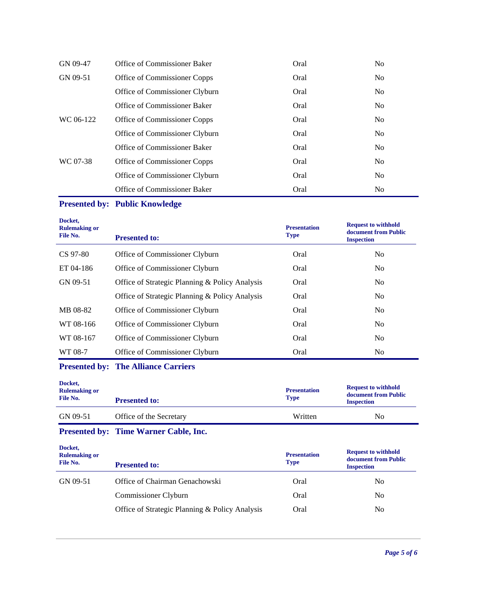| GN 09-47  | Office of Commissioner Baker   | Oral | N <sub>0</sub> |
|-----------|--------------------------------|------|----------------|
| GN 09-51  | Office of Commissioner Copps   | Oral | N <sub>o</sub> |
|           | Office of Commissioner Clyburn | Oral | N <sub>o</sub> |
|           | Office of Commissioner Baker   | Oral | N <sub>o</sub> |
| WC 06-122 | Office of Commissioner Copps   | Oral | N <sub>o</sub> |
|           | Office of Commissioner Clyburn | Oral | N <sub>o</sub> |
|           | Office of Commissioner Baker   | Oral | N <sub>o</sub> |
| WC 07-38  | Office of Commissioner Copps   | Oral | N <sub>o</sub> |
|           | Office of Commissioner Clyburn | Oral | N <sub>o</sub> |
|           | Office of Commissioner Baker   | Oral | N <sub>0</sub> |

# **Presented by: Public Knowledge**

| Docket,<br><b>Rulemaking or</b><br><b>File No.</b> | <b>Presented to:</b>                           | <b>Presentation</b><br><b>Type</b> | <b>Request to withhold</b><br>document from Public<br><b>Inspection</b> |
|----------------------------------------------------|------------------------------------------------|------------------------------------|-------------------------------------------------------------------------|
| CS 97-80                                           | Office of Commissioner Clyburn                 | Oral                               | N <sub>0</sub>                                                          |
| ET 04-186                                          | Office of Commissioner Clyburn                 | Oral                               | N <sub>0</sub>                                                          |
| GN 09-51                                           | Office of Strategic Planning & Policy Analysis | Oral                               | N <sub>0</sub>                                                          |
|                                                    | Office of Strategic Planning & Policy Analysis | Oral                               | N <sub>0</sub>                                                          |
| MB 08-82                                           | Office of Commissioner Clyburn                 | Oral                               | N <sub>0</sub>                                                          |
| WT 08-166                                          | Office of Commissioner Clyburn                 | Oral                               | N <sub>0</sub>                                                          |
| WT 08-167                                          | Office of Commissioner Clyburn                 | Oral                               | N <sub>0</sub>                                                          |
| WT 08-7                                            | Office of Commissioner Clyburn                 | Oral                               | N <sub>0</sub>                                                          |

# **Presented by: The Alliance Carriers**

| Docket,<br><b>Rulemaking or</b><br>File No. | <b>Presented to:</b>    | <b>Presentation</b><br><b>Type</b> | <b>Request to withhold</b><br>document from Public<br><b>Inspection</b> |
|---------------------------------------------|-------------------------|------------------------------------|-------------------------------------------------------------------------|
| GN 09-51                                    | Office of the Secretary | Written                            | No                                                                      |

# **Presented by: Time Warner Cable, Inc.**

| Docket,<br><b>Rulemaking or</b><br>File No. | <b>Presented to:</b>                           | <b>Presentation</b><br><b>Type</b> | <b>Request to withhold</b><br>document from Public<br><b>Inspection</b> |
|---------------------------------------------|------------------------------------------------|------------------------------------|-------------------------------------------------------------------------|
| GN 09-51                                    | Office of Chairman Genachowski                 | Oral                               | No                                                                      |
|                                             | Commissioner Clyburn                           | Oral                               | N <sub>0</sub>                                                          |
|                                             | Office of Strategic Planning & Policy Analysis | Oral                               | No                                                                      |